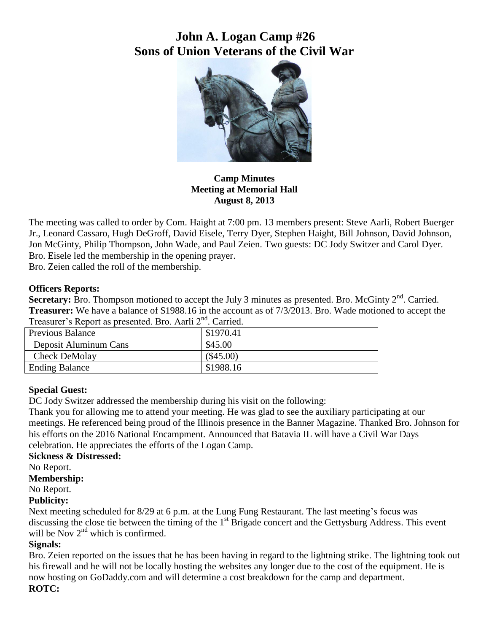# **John A. Logan Camp #26 Sons of Union Veterans of the Civil War**



**Camp Minutes Meeting at Memorial Hall August 8, 2013**

The meeting was called to order by Com. Haight at 7:00 pm. 13 members present: Steve Aarli, Robert Buerger Jr., Leonard Cassaro, Hugh DeGroff, David Eisele, Terry Dyer, Stephen Haight, Bill Johnson, David Johnson, Jon McGinty, Philip Thompson, John Wade, and Paul Zeien. Two guests: DC Jody Switzer and Carol Dyer. Bro. Eisele led the membership in the opening prayer.

Bro. Zeien called the roll of the membership.

## **Officers Reports:**

Secretary: Bro. Thompson motioned to accept the July 3 minutes as presented. Bro. McGinty 2<sup>nd</sup>. Carried. **Treasurer:** We have a balance of \$1988.16 in the account as of 7/3/2013. Bro. Wade motioned to accept the Treasurer's Report as presented. Bro. Aarli 2nd. Carried.

| $\frac{1}{2}$ . Callicated by the contracted by $\frac{1}{2}$ . Callicated by $\frac{1}{2}$ |             |
|---------------------------------------------------------------------------------------------|-------------|
| Previous Balance                                                                            | \$1970.41   |
| Deposit Aluminum Cans                                                                       | \$45.00     |
| Check DeMolay                                                                               | $(\$45.00)$ |
| <b>Ending Balance</b>                                                                       | \$1988.16   |

## **Special Guest:**

DC Jody Switzer addressed the membership during his visit on the following:

Thank you for allowing me to attend your meeting. He was glad to see the auxiliary participating at our meetings. He referenced being proud of the Illinois presence in the Banner Magazine. Thanked Bro. Johnson for his efforts on the 2016 National Encampment. Announced that Batavia IL will have a Civil War Days celebration. He appreciates the efforts of the Logan Camp.

## **Sickness & Distressed:**

No Report.

**Membership:**

No Report.

## **Publicity:**

Next meeting scheduled for 8/29 at 6 p.m. at the Lung Fung Restaurant. The last meeting's focus was discussing the close tie between the timing of the 1<sup>st</sup> Brigade concert and the Gettysburg Address. This event will be Nov  $2<sup>nd</sup>$  which is confirmed.

## **Signals:**

Bro. Zeien reported on the issues that he has been having in regard to the lightning strike. The lightning took out his firewall and he will not be locally hosting the websites any longer due to the cost of the equipment. He is now hosting on GoDaddy.com and will determine a cost breakdown for the camp and department.

## **ROTC:**